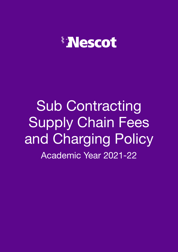

Sub Contracting Supply Chain Fees and Charging Policy Academic Year 2021-22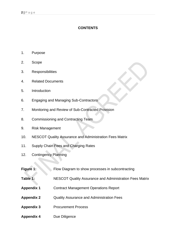## **CONTENTS**

- 1. Purpose
- 2. Scope
- 3. Responsibilities
- 4. Related Documents
- 5. Introduction
- 6. Engaging and Managing Sub-Contractors
- 7. Monitoring and Review of Sub-Contracted Provision
- 8. Commissioning and Contracting Team
- 9. Risk Management
- 10. NESCOT Quality Assurance and Administration Fees Matrix
- 11. Supply Chain Fees and Charging Rates
- 12. Contingency Planning

| Figure 1:         | Flow Diagram to show processes in subcontracting        |
|-------------------|---------------------------------------------------------|
| Table 1:          | NESCOT Quality Assurance and Administration Fees Matrix |
| <b>Appendix 1</b> | <b>Contract Management Operations Report</b>            |
| <b>Appendix 2</b> | <b>Quality Assurance and Administration Fees</b>        |
| <b>Appendix 3</b> | <b>Procurement Process</b>                              |
| <b>Appendix 4</b> | Due Diligence                                           |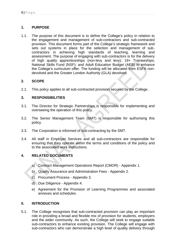## **1. PURPOSE**

1.1. The purpose of this document is to define the College's policy in relation to the engagement and management of sub-contractors and sub-contracted provision. This document forms part of the College's strategic framework and sets out systems in place for the selection and management of subcontractors in achieving high standards of teaching, learning and assessment. The purpose of engaging with sub-contractors is for the delivery of high quality apprenticeships (non-levy and levy); 19+ Traineeships; National Skills Fund (NSF); and Adult Education Budget (AEB) to enhance the College's curriculum offer. The funding will be allocated from ESFA nondevolved and the Greater London Authority (GLA) devolved.

## **2. SCOPE**

2.1. This policy applies to all sub-contracted provision secured by the College.

## **3. RESPONSIBILITIES**

- 3.1. The Director for Strategic Partnerships is responsible for implementing and overseeing the operation of this policy.
- 3.2. The Senior Management Team (SMT) is responsible for authorising this policy.
- 3.3. The Corporation is informed of sub-contracting by the SMT.
- 3.4. All staff in Employer Services and all sub-contractors are responsible for ensuring that they operate within the terms and conditions of the policy and to the associated work instructions.

## **4. RELATED DOCUMENTS**

- a) Contract Management Operations Report (CMOR) Appendix 1.
- b) Quality Assurance and Administration Fees Appendix 2.
- c) Procument Process Appendix 3.
- d) Due Diligence Appendix 4.
- e) Agreement for the Provision of Learning Programmes and associated annexes and schedules.

## **5. INTRODUCTION**

5.1. The College recognises that sub-contracted provision can play an important role in providing a broad and flexible mix of provision for students, employers and the wider community. As such, the College will seek to engage suitable sub-contractors to enhance existing provision. The College will engage with sub-contractors who can demonstrate a high level of quality delivery through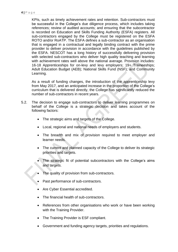KPIs, such as timely achievement rates and retention. Sub-contractors must be successful in the College's due diligence process, which includes taking references; review of audited accounts; and ensuring that the subcontractor is recorded on Education and Skills Funding Authority (ESFA) registers. All sub-contractors engaged by the College must be registered on the ESFA ROTO and/or RoATP. The ESFA defines a sub-contractor as an organisation that is engaged in a contractual and legally binding contract with the prime provider to deliver provision in accordance with the guidelines published by the ESFA. NESCOT has a long history of successfully delivering provision with selected sub-contractors who deliver high quality teaching and learning with achievement rates well above the national average. Provision includes: 16-18 Apprenticeships for on-levy and levy employers; 19+ Traineeships; Adult Education Budget (AEB); National Skills Fund (NSF); and Community Learning.

As a result of funding changes, the introduction of the apprenticeship levy from May 2017, and an anticipated increase in the proportion of the College's curriculum that is delivered directly, the College has significantly reduced the number of sub-contractors in recent years.

- 5.2. The decision to engage sub-contractors to deliver learning programmes on behalf of the College is a strategic decision and takes account of the following factors:
	- The strategic aims and targets of the College.
	- Local, regional and national needs of employers and students.
	- The breadth and mix of provision required to meet employer and learner needs.
	- The current and planned capacity of the College to deliver its strategic priorities and targets.
	- The strategic fit of potential subcontractors with the College's aims and targets.
	- The quality of provision from sub-contractors.
	- Past performance of sub-contractors.
	- Are Cyber Essential accredited.
	- The financial health of sub-contractors.
	- References from other organisations who work or have been working with the Training Provider.
	- The Training Provider is ESF compliant.
	- Government and funding agency targets, priorities and regulations.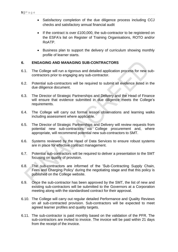- Satisfactory completion of the due diligence process including CCJ checks and satisfactory annual financial audit
- If the contract is over £100,000, the sub-contractor to be registered on the ESFA's list on Register of Training Organisations, ROTO and/or RoATP.
- Business plan to support the delivery of curriculum showing monthly profile of learner starts.

### **6. ENGAGING AND MANAGING SUB-CONTRACTORS**

- 6.1. The College will run a rigorous and detailed application process for new subcontractors prior to engaging any sub-contractor.
- 6.2. Potential sub-contractors will be required to submit all evidence listed in the due diligence document.
- 6.3. The Director of Strategic Partnerships and Delivery and the Head of Finance will ensure that evidence submitted in due diligence meets the College's requirements.
- 6.4. The College will carry out formal lesson observations and learning walks including assessment where applicable.
- 6.5. The Director of Strategic Partnerships and Delivery will review requests from potential new sub-contractors via College procurement and, where appropriate, will recommend potential new sub-contractors to SMT.
- 6.6. Systems reviewed by the Head of Data Services to ensure robust systems are in place for effective contract management.
- 6.7. Potential sub-contractors will be required to deliver a presentation to the SMT focusing on quality of provision.
- 6.8. The sub-contractors are informed of the 'Sub-Contracting Supply Chain, Fees and Charging Policy' during the negotiating stage and that this policy is published on the College website.
- 6.9. Once the sub-contractor has been approved by the SMT, the list of new and existing sub-contractors will be submitted to the Governors at a Corporation meeting along with the standardised contract for their approval.
- 6.10. The College will carry out regular detailed Performance and Quality Reviews on all sub-contracted provision. Sub-contractors will be expected to meet agreed learner profiles and quality targets.
- 6.11. The sub-contractor is paid monthly based on the validation of the PFR. The sub-contractors are invited to invoice. The invoice will be paid within 21 days from the receipt of the invoice.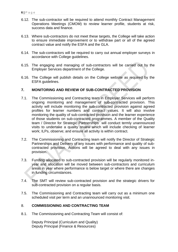- 6.12. The sub-contractor will be required to attend monthly Contract Management Operations Meetings (CMOM) to review learner profile, students at risk, success data and finance.
- 6.13. Where sub-contractors do not meet these targets, the College will take action to ensure immediate improvement or to withdraw part or all of the agreed contract value and notify the ESFA and the GLA.
- 6.14. The sub-contractors will be required to carry out annual employer surveys in accordance with College guidelines.
- 6.15. The engaging and managing of sub-contractors will be carried out by the Employer Services department of the College.
- 6.16. The College will publish details on the College website as required by the ESFA guidelines.

#### **7. MONITORING AND REVIEW OF SUB-CONTRACTED PROVISION**

- 7.1. The Commissioning and Contracting team in Employer Services will perform ongoing monitoring and management of sub-contracted provision. This activity will include monitoring the sub-contracted provision against agreed profiles for learner numbers and contract values. It will also involve monitoring the quality of sub-contracted provision and the learner experience of those students on sub-contracted programmes. A member of the Quality team / Director for Strategic Partnerships will conduct termly unannounced visits to undertake a quality review which will include checking of learner work; ILPs, observe; and ensure all activity is within contract.
- 7.2. The Commissioning and Contracting team will notify the Director of Strategic Partnerships and Delivery of any issues with performance and quality of subcontracted provision. Actions will be agreed to deal with any issues in provision.
- 7.3. Funding allocated to sub-contracted provision will be regularly monitored inyear and allocation will be moved between sub-contractors and curriculum areas in year where performance is below target or where there are changes in funding circumstances.
- 7.4. The SMT will review sub-contracted provision and the strategic drivers for sub-contracted provision on a regular basis.
- 7.5. The Commissioning and Contracting team will carry out as a minimum one scheduled visit per term and an unannounced monitoring visit.

### 8. **COMMISSIONING AND CONTRACTING TEAM**

8.1. The Commissioning and Contracting Team will consist of:

Deputy Principal (Curriculum and Quality) Deputy Principal (Finance & Resources)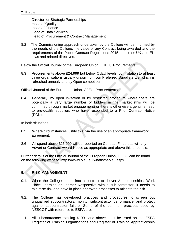Director for Strategic Partnerships Head of Quality Head of Finance Head of Data Services Head of Procurement & Contract Management

8.2 The Commissioning approach undertaken by the College will be informed by the needs of the College, the value of any Contract being awarded and the requirements of the Public Contract Regulations 2015 and other UK and EU laws and related directives.

Below the Official Journal of the European Union, OJEU, Procurements

8.3 Procurements above £24,999 but below OJEU levels: by invitation to at least three organisations usually drawn from our Preferred Suppliers List which is refreshed annualy and by Open competition.

Official Journal of the European Union, OJEU, Procurements:

8.4 Generally, by open invitation or by restricted procedure where there are potentially a very large number of bidders in the market (this will be confirmed through market engagement) or there is otherwise a genuine need to pre-qualify suppliers who have responded to a Prior Contract Notice (PCN).

In both situations:

- 8.5 Where circumstances justify this, via the use of an appropriate framework agreement.
- 8.6 All spend above £25,000 will be reported on Contract Finder, as will any Advert or Contract Award Notice as appropriate and above this threshold.

Further details of the Official Journal of the European Union, OJEU, can be found on the following website: <https://www.ojeu.eu/whatistheojeu.aspx>

## **9. RISK MANAGEMENT**

- 9.1. When the College enters into a contract to deliver Apprenticeships, Work Place Learning or Learner Responsive with a sub-contractor, it needs to minimise risk and have in place approved processes to mitigate the risk.
- 9.2. The College has developed practices and procedures to screen out unqualified subcontractors, monitor subcontractor performance, and protect against subcontractor failure. Some of the common practices used by NESCOT with reference to ESFA are:
	- I. All subcontractors totalling £100k and above must be listed on the ESFA Register of Training Organisations and Register of Training Apprenticeship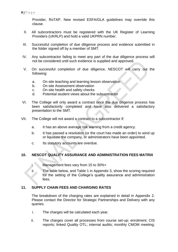Provider, RoTAP. New revised ESFA/GLA guidelines may override this clause.

- II. All subcontractors must be registered with the UK Register of Learning Providers (UKRLP) and hold a valid UKPRN number.
- III. Successful completion of due diligence process and evidence submitted in the folder signed off by a member of SMT.
- IV. Any subcontractor failing to meet any part of the due diligence process will not be considered until such evidence is supplied and approved.
- V. On successful completion of due diligence, NESCOT will carry out the following:
	- a. On site teaching and learning lesson observation
	- b. On site Assessment observation
	- c. On site health and safety checks
	- d. Potential student views about the subcontractor
- VI. The College will only award a contract once the due diligence process has been satisfactorily completed and have also delivered a satisfactory presentation to the SMT.
- VII. The College will not award a contract to a subcontractor if:
	- a. It has an above average risk warning from a credit agency.
	- b. It has passed a resolution (or the court has made an order) to wind up or liquidate the company, or administrators have been appointed.
	- c. Its statutory accounts are overdue.

## **10. NESCOT QUALITY ASSURANCE AND ADMINISTRATION FEES MATRIX**

- i. Management fees vary from 15 to 30%+
- ii. The table below, and Table 1 in Appendix 3, show the scoring required for the setting of the College's quality assurance and administration fees.

#### **11. SUPPLY CHAIN FEES AND CHARGING RATES**

The breakdown of the charging rates are explained in detail in Appendix 2. Please contact the Director for Strategic Partnerships and Delivery with any queries.

- i. The charges will be calculated each year.
- ii. The charges cover all processes from course set-up; enrolment; CIS reports; linked Quality OTL; internal audits; monthly CMOM meeting;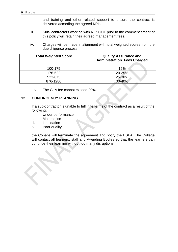and training and other related support to ensure the contract is delivered according the agreed KPIs.

- iii. Sub- contractors working with NESCOT prior to the commencement of this policy will retain their agreed management fees.
- iv. Charges will be made in alignment with total weighted scores from the due diligence process:

| <b>Total Weighted Score</b> | <b>Quality Assurance and</b><br><b>Administration Fees Charged</b> |
|-----------------------------|--------------------------------------------------------------------|
| 100-175                     | 15%                                                                |
| 176-522                     | 20-25%                                                             |
| 523-875                     | 25-30%                                                             |
| 876-1280                    | $30 - 40%$                                                         |

v. The GLA fee cannot exceed 20%.

#### **12. CONTINGENCY PLANNING**

If a sub-contractor is unable to fulfil the terms of the contract as a result of the following:

- i. Under performance
- ii. Malpractice
- iii. Liquidation
- iv. Poor quality

the College will terminate the agreement and notify the ESFA. The College will contact all learners, staff and Awarding Bodies so that the learners can continue their learning without too many disruptions.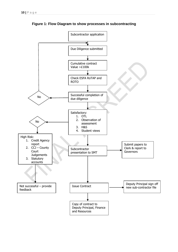

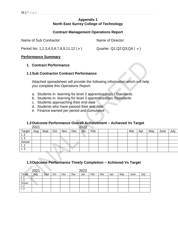## **Appendix 1 North East Surrey College of Technology**

#### **Contract Management Operations Report**

Name of Sub Contractor: Name of Director:

Period No: 1,2,3,4,5,6,7,8,9,11,12 ( $\checkmark$ ) Quarter: Q1;Q2;Q3;Q4 ( $\checkmark$ )

#### **Performance Summary**

#### **1. Contract Performance**

#### **1.1Sub Contractor Contract Performance**

Attached spreadsheet will provide the following information which will help you complete this Operations Report.

- a. Students in- learning for level 2 apprenticeships / Standards
- b. Students in- learning for level 3 apprenticeships /Standards
- c. Students approaching their end-date
- d. Students who have passed their end date
- e. Finance earned per period and cumulative

#### **1.2Outcome Performance Overall Achievement – Achieved Vs Target**

|                | 2021 |      |     |     |     | 2022 |     |  |     |     |     |      |      |
|----------------|------|------|-----|-----|-----|------|-----|--|-----|-----|-----|------|------|
| <b>Target</b>  | Aug  | Sept | Oct | Nov | Dec | Jan  | Feb |  | Mar | Apr | May | June | July |
| ົ              |      |      |     |     |     |      |     |  |     |     |     |      |      |
| ົ<br>LJ        |      |      |     |     |     |      |     |  |     |     |     |      |      |
| Actual         |      |      |     |     |     |      |     |  |     |     |     |      |      |
| $\sim$         |      |      |     |     |     |      |     |  |     |     |     |      |      |
| L <sub>3</sub> |      |      |     |     |     |      |     |  |     |     |     |      |      |

#### **1.3Outcome Performance Timely Completion – Achieved Vs Target**

|                | 2021 |      |     |     |     | 2022 |     |     |     |     |      |      |
|----------------|------|------|-----|-----|-----|------|-----|-----|-----|-----|------|------|
| Target         | Aug  | Sept | Oct | Nov | Dec | Jan  | Feb | Mar | Apr | May | June | July |
| ົ              |      |      |     |     |     |      |     |     |     |     |      |      |
| L <sub>3</sub> |      |      |     |     |     |      |     |     |     |     |      |      |
| Actual         |      |      |     |     |     |      |     |     |     |     |      |      |
| L <sub>2</sub> |      |      |     |     |     |      |     |     |     |     |      |      |
| L <sub>3</sub> |      |      |     |     |     |      |     |     |     |     |      |      |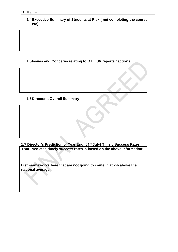**1.4Executive Summary of Students at Risk ( not completing the course etc)**

## **1.5Issues and Concerns relating to OTL, SV reports / actions**

### **1.6Director's Overall Summary**

**1.7 Director's Prediction of Year End (31st July) Timely Success Rates Your Predicted timely success rates % based on the above information:** 

**List Frameworks here that are not going to come in at 7% above the national average:**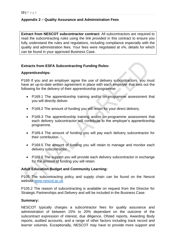## **Appendix 2 – Quality Assurance and Administration Fees**

**Extract from NESCOT subcontractor contract:** All subcontractors are required to read the subcontracting rules using the link provided in this contract to ensure you fully understand the rules and regulations, including compliance especially with the quality and administration fees. Your fees were negotiated at x%, details for which can be found in your approved Business Case.

### **Extracts from ESFA Subcontracting Funding Rules:**

#### **Apprenticeships:**

P169 If you and an employer agree the use of delivery subcontractors, you must have an up-to-date written agreement in place with each employer that sets out the following for the delivery of their apprenticeship programme:

- P169.1 The apprenticeship training and/or on-programme assessment that you will directly deliver.
- P169.2 The amount of funding you will retain for your direct delivery.
- P169.3 The apprenticeship training and/or on-programme assessment that each delivery subcontractor will contribute to the employer's apprenticeship programme.
- P169.4 The amount of funding you will pay each delivery subcontractor for their contribution.
- P169.5 The amount of funding you will retain to manage and monitor each delivery subcontractor.
- P169.6 The support you will provide each delivery subcontractor in exchange for the amount of funding you will retain.

#### **Adult Education Budget and Community Learning:**

P105 The subcontracting policy and supply chain can be found on the Nescot website [www.nescot.ac.uk](http://www.nescot.ac.uk/)

P105.2 The reason of subcontracting is available on request from the Director for Strategic Partnerships and Delivery and will be included in the Business Case.

#### **Summary:**

NESCOT typically charges a subcontractor fees for quality assurance and administration of between 15% to 20% dependant on the outcome of the subcontract expression of interest, due diligence, Ofsted reports, Awarding Body reports, audited accounts, and a range of other factors including track record and learner volumes. Exceptionally, NESCOT may have to provide more support and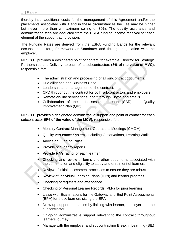thereby incur additional costs for the management of this Agreement and/or the placements associated with it and in these circumstances the Fee may be higher but never more than a maximum ceiling of 30%. The quality assurance and administration fees are deducted from the ESFA funding income received for each element of the subcontract provision.

The Funding Rates are derived from the ESFA Funding Bands for the relevant occupation sectors, Framework or Standards and through negotiation with the employer.

NESCOT provides a designated point of contact, for example, Director for Strategic Partnerships and Delivery, to each of its subcontractors **(8% of the value of MVC),**  responsible for**:**

- The administration and processing of all subcontract documents.
- Due diligence and Business Case.
- Leadership and management of the contract.
- CPD throughout the contract for both subcontractors and employers.
- Remote on-line service for support through Skype and emails.
- Collaboration of the self-assessment report (SAR) and Quality Improvement Plan (QIP).

NESCOT provides a designated administrative support and point of contact for each subcontractor **(5% of the value of the MCV),** responsible for:

- Monthly Contract Management Operations Meetings (CMOM)
- Quality Assurance Systems including Observations, Learning Walks
- Advice on Funding Rules
- Provide occupancy reports
- Provide RAG rating for each learner
- Checking and review of forms and other documents associated with the confirmation and eligibility to study and enrolment of learners
- Review of initial assessment processes to ensure they are robust
- Review of Individual Learning Plans (ILPs) and learner progress
- Checking of registers and attendance
- Checking of Personal Learner Records (PLR) for prior learning
- Liaise with Examinations for the Gateway and End Point Assessments (EPA) for those learners sitting the EPA
- Draw up support timetables by liaising with learner, employer and the subcontractor
- On-going administrative support relevant to the contract throughout learners journey
- Manage with the employer and subcontracting Break In Learning (BIL)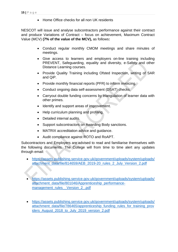• Home Office checks for all non UK residents

NESCOT will issue and analyse subcontractors performance against their contract and produce Variations of Contract – focus on achievement, Maximum Contract Value (MCV) **(7% of the value of the MCV),** as follows**:**

- Conduct regular monthly CMOM meetings and share minutes of meetings.
- Give access to learners and employers on-line training including PREVENT, Safeguarding, equality and diversity, e-Safety and other Distance Learning courses.
- Provide Quality Training including Ofsted Inspection, writing of SAR and QiP.
- Provide monthly financial reports (PFR) to inform invoicing.
- Conduct ongoing data self-assessment (DSAT) checks.
- Carryout double funding concerns by triangulation of learner data with other primes.
- Identify and support areas of improvement.
- Help curriculum planning and profiling.
- Detailed internal audits.
- Support subcontractors on Awarding Body sanctions.
- MATRIX accreditation advice and quidance.
- Audit compliance against ROTO and RoAPT.

Subcontractors and Employers are advised to read and familiarise themselves with the following documents. The College will from time to time alert any updates through email:

- [https://assets.publishing.service.gov.uk/government/uploads/system/uploads/](https://assets.publishing.service.gov.uk/government/uploads/system/uploads/attachment_data/file/814659/AEB_2019-20_rules_2_July_Version_2.pdf) [attachment\\_data/file/814659/AEB\\_2019-20\\_rules\\_2\\_July\\_Version\\_2.pdf](https://assets.publishing.service.gov.uk/government/uploads/system/uploads/attachment_data/file/814659/AEB_2019-20_rules_2_July_Version_2.pdf)
- [https://assets.publishing.service.gov.uk/government/uploads/system/uploads/](https://assets.publishing.service.gov.uk/government/uploads/system/uploads/attachment_data/file/801046/Apprenticeship_performance-management_rules__Version_2_.pdf) [attachment\\_data/file/801046/Apprenticeship\\_performance](https://assets.publishing.service.gov.uk/government/uploads/system/uploads/attachment_data/file/801046/Apprenticeship_performance-management_rules__Version_2_.pdf)management\_rules\_Version\_2\_.pdf
- [https://assets.publishing.service.gov.uk/government/uploads/system/uploads/](https://assets.publishing.service.gov.uk/government/uploads/system/uploads/attachment_data/file/786465/apprenticeship_funding_rules_for_training_providers_August_2018_to_July_2019_version_2.pdf) [attachment\\_data/file/786465/apprenticeship\\_funding\\_rules\\_for\\_training\\_prov](https://assets.publishing.service.gov.uk/government/uploads/system/uploads/attachment_data/file/786465/apprenticeship_funding_rules_for_training_providers_August_2018_to_July_2019_version_2.pdf) iders August 2018 to July 2019 version 2.pdf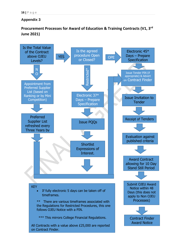## **Appendix 3**

# **Procurement Processes for Award of Education & Training Contracts (V1, 3rd June 2021)**

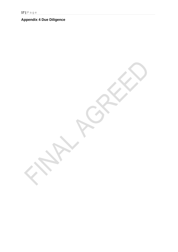# **Appendix 4 Due Diligence**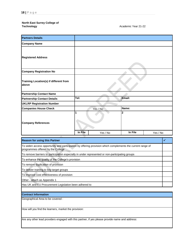#### **North East Surrey College of Technology** Academic Year 21-22

| <b>Partners Details</b>                                                                                    |                    |          |         |          |              |
|------------------------------------------------------------------------------------------------------------|--------------------|----------|---------|----------|--------------|
| <b>Company Name</b>                                                                                        |                    |          |         |          |              |
| <b>Registered Address</b>                                                                                  |                    |          |         |          |              |
| <b>Company Registration No</b>                                                                             |                    |          |         |          |              |
| <b>Training Location(s) if different from</b><br>above                                                     |                    |          |         |          |              |
| <b>Partnership Contact Name</b>                                                                            |                    |          |         |          |              |
| <b>Partnership Contact Details</b>                                                                         | $\overline{T}$ el: |          | Email:  |          |              |
| <b>UKLRP Registration Number</b>                                                                           |                    |          |         |          |              |
| <b>Companies House Check</b>                                                                               |                    | Yes / No | Name:   |          |              |
| <b>Company References</b>                                                                                  | 1                  |          | 2       |          |              |
|                                                                                                            | In File            | Yes / No | In File | Yes / No |              |
|                                                                                                            |                    |          |         |          |              |
| <b>Reason for using this Partner</b>                                                                       |                    |          |         |          | $\checkmark$ |
| To widen access opportunity and participation by offering provision which complements the current range of |                    |          |         |          |              |

programmes offered by the College

To remove barriers to participation especially in under represented or non-participating groups

To enhance the quality of the College's provision

To remove duplication of provision

To deliver training to key target groups

To improve cost effectiveness of provision

Other - attach as Appendix 1

Has UK and EU Procurement Legislation been adhered to

#### **Contract Information**

Geographical Area to be covered :

How will you find the learners, market the provision:

Are any other lead providers engaged with this partner, if yes please provide name and address: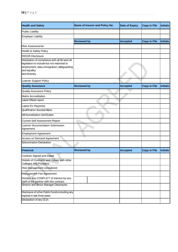| <b>Health and Safety</b>                                                                                                                                                     | <b>Name of Insurer and Policy No</b> | <b>Date of Expiry</b> | <b>Copy in File</b> | <b>Initials</b> |
|------------------------------------------------------------------------------------------------------------------------------------------------------------------------------|--------------------------------------|-----------------------|---------------------|-----------------|
| <b>Public Liability</b>                                                                                                                                                      |                                      |                       |                     |                 |
| <b>Employer Liability</b>                                                                                                                                                    |                                      |                       |                     |                 |
|                                                                                                                                                                              | <b>Reviewed by</b>                   | <b>Accepted</b>       | <b>Copy in File</b> | <b>Initials</b> |
| <b>Risk Assessments</b>                                                                                                                                                      |                                      |                       |                     |                 |
| Health & Safety Policy                                                                                                                                                       |                                      |                       |                     |                 |
| <b>RIDOR Disclosure</b>                                                                                                                                                      |                                      |                       |                     |                 |
| Declaration of compliance with all EU and UK<br>legislation to include but not restricted to<br>employment, data, immigration, safeguarding<br>and equality<br>and diversity |                                      |                       |                     |                 |
| Learner Support Policy                                                                                                                                                       |                                      |                       |                     |                 |
| <b>Quality Assurance</b>                                                                                                                                                     | <b>Reviewed by</b>                   | <b>Accepted</b>       | <b>Copy in File</b> | <b>Initials</b> |
| <b>Quality Assurance Policy</b>                                                                                                                                              |                                      |                       |                     |                 |
| <b>Matrix Accreditation</b>                                                                                                                                                  |                                      |                       |                     |                 |
| Latest Ofsted report                                                                                                                                                         |                                      |                       |                     |                 |
| Latest EV Report(s)                                                                                                                                                          |                                      |                       |                     |                 |
| <b>Qualification Success Rates</b>                                                                                                                                           |                                      |                       |                     |                 |
| <b>AB Accreditation Certificates</b>                                                                                                                                         |                                      |                       |                     |                 |
| <b>Current Self Assessment Report</b>                                                                                                                                        |                                      |                       |                     |                 |
| Learner Documentation Submission<br>Agreement                                                                                                                                |                                      |                       |                     |                 |
| <b>Employment Agreement</b>                                                                                                                                                  |                                      |                       |                     |                 |
| Access on Demand Agreement                                                                                                                                                   |                                      |                       |                     |                 |
| Subcontractor Declaration                                                                                                                                                    |                                      |                       |                     |                 |
| Financial                                                                                                                                                                    | <b>Reviewed by</b>                   | <b>Accepted</b>       | <b>Copy in File</b> | <b>Initials</b> |
| <b>Contract Signed and Dated</b>                                                                                                                                             |                                      |                       |                     |                 |
| Details of Contracts and Values with other<br><b>Colleges and Providers</b>                                                                                                  |                                      |                       |                     |                 |
| Risk Management considered                                                                                                                                                   |                                      |                       |                     |                 |
| Management Fee Agreement                                                                                                                                                     |                                      |                       |                     |                 |
| Declare any CONFLICT of interest by any<br>staff of the partner with this contract.                                                                                          |                                      |                       |                     |                 |
| Director and Senior Manager Disclosures                                                                                                                                      |                                      |                       |                     |                 |
| Disclosure of other Public Funds including any<br>expired in last three years                                                                                                |                                      |                       |                     |                 |
| Declaration of any CCJs                                                                                                                                                      |                                      |                       |                     |                 |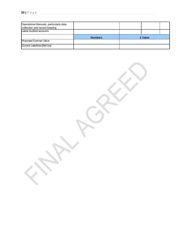| Operational Manuals, particularly data<br>collection and record keeping |                |         |  |  |
|-------------------------------------------------------------------------|----------------|---------|--|--|
| Latest Audited accounts                                                 |                |         |  |  |
|                                                                         | <b>Numbers</b> | £ Value |  |  |
| Proposed Contract Value                                                 |                |         |  |  |
| <b>Current Liabilities (Roll Ins)</b>                                   |                |         |  |  |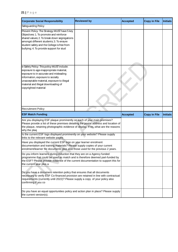| <b>Corporate Social Responsibility</b>                                                                                                                                                                                                                                            | <b>Reviewed by</b> |  | <b>Accepted</b> | <b>Copy in File</b> | <b>Initials</b> |
|-----------------------------------------------------------------------------------------------------------------------------------------------------------------------------------------------------------------------------------------------------------------------------------|--------------------|--|-----------------|---------------------|-----------------|
| Safeguarding Policy                                                                                                                                                                                                                                                               |                    |  |                 |                     |                 |
| Prevent Policy: The Strategy MUST have 5 key<br>Objectives: 1. To promote and reinforce<br>shared values; 2. To break down segregations<br>amongst different students; 3. To ensure<br>student safety and the College is free from<br>bullying; 4. To provide support for stud    |                    |  |                 |                     |                 |
| e-Safety Policy: This policy MUST include:<br>exposure to age-inappropriate material,<br>exposure to in-accurate and misleading<br>information, exposure to socially<br>unacceptable material, exposure to illegal<br>material and illegal downloading of<br>copyrighted material |                    |  |                 |                     |                 |
| <b>Recruitment Policy</b>                                                                                                                                                                                                                                                         |                    |  |                 |                     |                 |
| <b>ESF Match Funding</b>                                                                                                                                                                                                                                                          |                    |  | <b>Accepted</b> | <b>Copy in File</b> | <b>Initials</b> |
| Are you displaying ESF plaque prominently on each of your main premises?<br>Please provide a list of these premises detailing the postal address and location of<br>the plaque, retaining photographic evidence of display. If no, what are the reasons<br>why the plaq           |                    |  |                 |                     |                 |
| Is the current ESF logo displayed prominently on your website? Please supply<br>links to the relevant website pages                                                                                                                                                               |                    |  |                 |                     |                 |
| Have you displayed the current ESF logo on your learner enrolment<br>documentation and training materials? Please supply copies of your current<br>enrolment/learner file documents plus also those used for the previous 2 years.                                                |                    |  |                 |                     |                 |
| Do you inform learners during induction that they are on a Agency funded<br>programme that could be used as match and is therefore deemed part-funded by<br>the ESF? Please provide evidence of the current documentation to support this for<br>the current year plus a          |                    |  |                 |                     |                 |
| Do you have a document retention policy that ensures that all documents<br>necessary to verify ESF Co-financed provision are retained in line with contractual<br>requirements (currently until 2022)? Please supply a copy of your policy also<br>confirming if you co           |                    |  |                 |                     |                 |
| Do you have an equal opportunities policy and action plan in place? Please supply<br>the current version(s).                                                                                                                                                                      |                    |  |                 |                     |                 |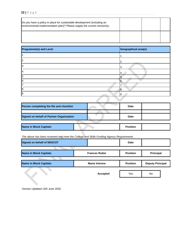| Do you have a policy in place for sustainable development (including an<br>environmental implementation plan)? Please supply the current version(s). |  |  |
|------------------------------------------------------------------------------------------------------------------------------------------------------|--|--|
|                                                                                                                                                      |  |  |

| <b>Programme(s) and Level</b> | Geographical area(s) |
|-------------------------------|----------------------|
|                               |                      |
|                               |                      |
|                               |                      |
|                               | 4                    |
| 5                             |                      |
| 6                             | 6                    |
|                               |                      |
| 8                             | l8                   |
|                               | 19                   |

| Person completing the file and checklist |             | <b>Date</b>     |  |
|------------------------------------------|-------------|-----------------|--|
|                                          |             |                 |  |
| Signed on behalf of Partner Organisation | <b>Date</b> |                 |  |
|                                          |             |                 |  |
| Name in Block Capitals                   |             | <b>Position</b> |  |

| Signed on behalf of NESCOT    |                       | <b>Date</b>     |                         |  |
|-------------------------------|-----------------------|-----------------|-------------------------|--|
| <b>Name in Block Capitals</b> | <b>Frances Rutter</b> | <b>Position</b> | Principal               |  |
| <b>Name in Block Capitals</b> | <b>Maria Vetrone</b>  | <b>Position</b> | <b>Deputy Principal</b> |  |
|                               | <b>Accepted</b>       | Yes             | <b>No</b>               |  |

Version Updated 12th June 2020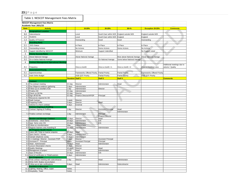| Table 1. NESCOT Management Fees Matrix |                                                                            |                                          |                                    |                            |                             |                               |                            |
|----------------------------------------|----------------------------------------------------------------------------|------------------------------------------|------------------------------------|----------------------------|-----------------------------|-------------------------------|----------------------------|
|                                        | <b>NESCOT Management Fees Matrix</b>                                       |                                          |                                    |                            |                             |                               |                            |
|                                        | Academic Year: 2021/22                                                     |                                          |                                    |                            |                             |                               |                            |
| <b>Item</b>                            | <b>Activity</b>                                                            |                                          | 15-20%                             | 20-25%                     | $30 + \%$                   | <b>Exception 20-25%</b>       | <b>Comments</b>            |
| $\mathbf{1}$                           | <b>Geographical Location</b>                                               |                                          |                                    |                            |                             |                               |                            |
| $1.1\,$                                | Subcontractor                                                              |                                          | Local                              | South East within M25      | England outside M25         | England outside M25           |                            |
| 1.2                                    | Students                                                                   |                                          | Local                              | South East within M25      | England                     | England                       |                            |
| 1.3                                    | Quality of Provision                                                       |                                          | Outstanding                        | Good                       | Good                        | Outstanding                   |                            |
| $\overline{2}$                         | <b>Awarding Body</b>                                                       |                                          |                                    |                            |                             |                               |                            |
| 2.1                                    | <b>DCS Status</b>                                                          |                                          | In Place                           | In Place                   | In Place                    | In Place                      |                            |
| 2.2                                    | <b>Outstanding Actions</b>                                                 |                                          | No Actions                         | Some Actions               | Some Actions                | No Actions                    |                            |
| 2.3                                    | Support identified by NESCOT                                               |                                          | Minimum                            | Support indentified        |                             | No Support noted              |                            |
| 3                                      | <b>Timely Success Rates</b>                                                |                                          |                                    |                            |                             |                               |                            |
|                                        |                                                                            |                                          |                                    |                            |                             |                               |                            |
| 3.1                                    | Above National Average                                                     |                                          | Above National Average             |                            | Most above National Average | <b>Above National Average</b> |                            |
| 3.2                                    | On or below National Average                                               |                                          |                                    | On National Average        | Some below National Average |                               |                            |
| 4                                      | <b>Contract Management Operational Meeting</b>                             |                                          |                                    |                            |                             |                               | Additional meetings due to |
| 4.1                                    | Frequency                                                                  |                                          | Once a month                       | Once a month +1            | Once a month +2             | Once a month/or Less          | volume / Quality           |
| 5                                      | <b>Government Priority</b>                                                 |                                          |                                    |                            |                             |                               |                            |
| 5.1                                    | Apprenticeships                                                            |                                          | <b>Frameworks Offered Priority</b> | <b>Partial Priority</b>    | <b>Partial Priority</b>     | Frameworks Offered Priority   |                            |
| 5.2                                    | <b>Adult Skills Budget</b>                                                 |                                          | <b>ASB QCF Priority</b>            | <b>Partial Priority</b>    | <b>Partial Priority</b>     | <b>ASB QCF Priority</b>       |                            |
|                                        |                                                                            | <b>Duration</b>                          | Staff <sub>1</sub>                 | Staff <sub>2</sub>         | Staff <sub>3</sub>          |                               | <b>Comments</b>            |
|                                        | 6 Contract                                                                 |                                          |                                    |                            |                             |                               |                            |
|                                        | 6.1 Pre-contract meeting                                                   | 0.5 <sub>day</sub>                       | Director                           | Administrator              | Head                        |                               |                            |
|                                        | 6.2 Due Diligence-evidence gathering                                       | 2 days                                   | Administrator                      |                            |                             |                               |                            |
|                                        | 6.3 Follow up on shortfall of DD<br>6.4 Finalise DD                        | 1 day                                    | Administrator                      | Director                   |                             |                               |                            |
|                                        | 6.5 Check on DD file                                                       | 0.5 <sub>day</sub><br>0.5 <sub>day</sub> | Administrator<br>Director          |                            |                             |                               |                            |
|                                        | 6.6 Sign off DD file                                                       | 0.5 <sub>day</sub>                       | Finance Director/AP/DP             | Principal                  |                             |                               |                            |
|                                        | 6.7 Resources required for DD                                              |                                          |                                    |                            |                             |                               |                            |
|                                        | 6.8 Draft Contract                                                         | I week                                   | Director                           |                            |                             |                               |                            |
|                                        | 6.9 Preparing Profile                                                      | 3 days                                   | Director                           | Head                       |                             |                               |                            |
|                                        | 6.1 Solicitor to check contract<br><b>Contract Signing &amp; Profiling</b> | 4 days                                   | External                           |                            |                             |                               |                            |
| 7.1                                    | Contract Signing & Profiling                                               | 1 day                                    | Director                           | <b>Assistant Principal</b> | Head                        |                               |                            |
|                                        |                                                                            |                                          |                                    |                            | Administrator               |                               |                            |
|                                        | 7.2 Finalise contract exchange                                             | 1 day                                    | Administrator                      | Principal                  |                             |                               |                            |
|                                        |                                                                            |                                          |                                    | <b>Finance Director</b>    |                             |                               |                            |
|                                        | 8 Monitor and Manage Contract<br>8.1 Enrolments - check forms              | 12 days                                  | Director                           | Head<br>CIS                |                             |                               |                            |
|                                        | 8.2 Input forms onto CIS                                                   | 10 days<br>10 days                       | Administrator<br>Administrator     | <b>CIS</b>                 |                             |                               |                            |
|                                        | 8.3 Follow on misinformation                                               | 1day                                     | Administrator                      |                            |                             |                               |                            |
|                                        | 8.4 Register learners onto Awarding B                                      | 10 days                                  | Administrator                      | Administrator              |                             |                               |                            |
|                                        | On Program Health Check                                                    |                                          |                                    |                            |                             |                               |                            |
| 9.1                                    | Liaise with Tribal on learner enquires                                     | 10 days                                  | Head                               |                            |                             |                               |                            |
|                                        | 9.2 Spot checks / Survey<br>9.3 Sample telephone survey                    | 5 days<br>5 days                         | Administrator<br>Administrator     |                            |                             |                               |                            |
|                                        | 9.4 1:1 meetings: Director - Assistant P/DP                                | 2 days                                   | <b>Director</b>                    | <b>Assistant Principal</b> |                             |                               |                            |
|                                        | 9.5 Assistant P : Principal                                                | 2days                                    | <b>Assistant Principal</b>         | Principal                  |                             |                               |                            |
|                                        | 9.6 Head: Administrator                                                    | 15 days                                  | Head                               | Administrator              |                             |                               |                            |
|                                        | 9.7 Lesson Observation checks                                              | 4 days                                   | Director                           |                            |                             |                               |                            |
|                                        | 9.8 Quality Meetings<br>9.9 Management of project                          | 10 days<br>1 FTE                         | Director<br>Head                   | Head<br>Administrator      |                             |                               |                            |
|                                        | 9.1 Input of Results                                                       | 10 days                                  | Administrator                      | <b>CIS</b>                 |                             |                               |                            |
|                                        | 9.11 Send of certificates to Tribal/Learners                               | 4 days                                   | Administrator                      |                            |                             |                               |                            |
|                                        | 10 Exit Programme                                                          |                                          |                                    |                            |                             |                               |                            |
|                                        | 10.1 Final contract meeting with subcontractor                             | 1 day                                    | Director                           | Head                       | Administrator               |                               |                            |
|                                        | 10.2 Write SAR, finalise reconciliation                                    |                                          |                                    |                            |                             |                               |                            |
| 11                                     | 10.3 Follow up on late certifications<br><b>Facilities &amp; Resources</b> | 5 days                                   | Head                               | Administrator              | Subcontractor               |                               |                            |
|                                        | 11.1 Lighting, Heating, Office, copier                                     | Varies                                   |                                    |                            |                             |                               |                            |
|                                        | 11.2 Hospitality, Travel                                                   | Varies                                   |                                    |                            |                             |                               |                            |

### **23 |** P a g e